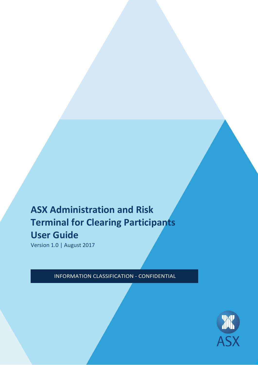# **ASX Administration and Risk Terminal for Clearing Participants User Guide**

Version 1.0 | August 2017

INFORMATION CLASSIFICATION - CONFIDENTIAL

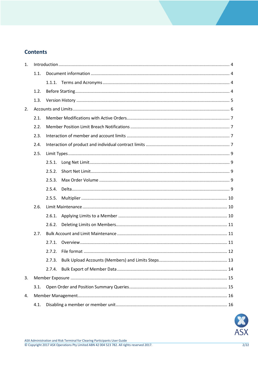# **Contents**

| 1. |      |        |  |  |  |  |
|----|------|--------|--|--|--|--|
|    | 1.1. |        |  |  |  |  |
|    |      |        |  |  |  |  |
|    | 1.2. |        |  |  |  |  |
|    | 1.3. |        |  |  |  |  |
| 2. |      |        |  |  |  |  |
|    | 2.1. |        |  |  |  |  |
|    | 2.2. |        |  |  |  |  |
|    | 2.3. |        |  |  |  |  |
|    | 2.4. |        |  |  |  |  |
|    | 2.5. |        |  |  |  |  |
|    |      | 2.5.1. |  |  |  |  |
|    |      | 2.5.2. |  |  |  |  |
|    |      | 2.5.3. |  |  |  |  |
|    |      | 2.5.4. |  |  |  |  |
|    |      | 2.5.5. |  |  |  |  |
|    | 2.6. |        |  |  |  |  |
|    |      | 2.6.1. |  |  |  |  |
|    |      | 2.6.2. |  |  |  |  |
|    | 2.7. |        |  |  |  |  |
|    |      | 2.7.1. |  |  |  |  |
|    |      |        |  |  |  |  |
|    |      | 2.7.3. |  |  |  |  |
|    |      | 2.7.4. |  |  |  |  |
| 3. |      |        |  |  |  |  |
|    | 3.1. |        |  |  |  |  |
| 4. |      |        |  |  |  |  |
|    | 4.1. |        |  |  |  |  |

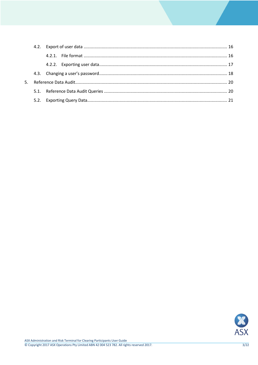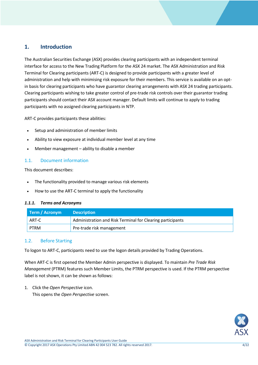# <span id="page-3-0"></span>**1. Introduction**

The Australian Securities Exchange (ASX) provides clearing participants with an independent terminal interface for access to the New Trading Platform for the ASX 24 market. The ASX Administration and Risk Terminal for Clearing participants (ART-C) is designed to provide participants with a greater level of administration and help with minimising risk exposure for their members. This service is available on an optin basis for clearing participants who have guarantor clearing arrangements with ASX 24 trading participants. Clearing participants wishing to take greater control of pre-trade risk controls over their guarantor trading participants should contact their ASX account manager. Default limits will continue to apply to trading participants with no assigned clearing participants in NTP.

ART-C provides participants these abilities:

- Setup and administration of member limits
- Ability to view exposure at individual member level at any time
- Member management ability to disable a member

## <span id="page-3-1"></span>1.1. Document information

This document describes:

- The functionality provided to manage various risk elements
- How to use the ART-C terminal to apply the functionality

#### <span id="page-3-2"></span>*1.1.1. Terms and Acronyms*

| Term / Acronym | <b>Description</b>                                         |
|----------------|------------------------------------------------------------|
| ART-C          | Administration and Risk Terminal for Clearing participants |
| <b>PTRM</b>    | Pre-trade risk management                                  |

## <span id="page-3-3"></span>1.2. Before Starting

To logon to ART-C, participants need to use the logon details provided by Trading Operations.

When ART-C is first opened the Member Admin perspective is displayed. To maintain *Pre Trade Risk Management* (PTRM) features such Member Limits, the PTRM perspective is used. If the PTRM perspective label is not shown, it can be shown as follows:

1. Click the *Open Perspective* icon.

This opens the *Open Perspective* screen.

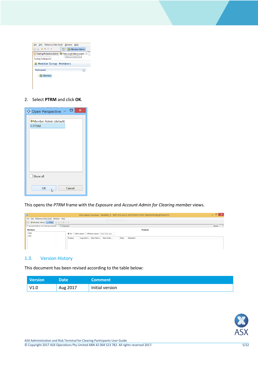| 喩問◆▼☆▼<br>Member Admin<br>邼<br><b>A</b> Trading Protection Limits <b>C.</b> Particinant Management &<br><b>Open Perspective</b><br><b>Trading Participants</b><br>Member Group: Members<br><b>Participants</b><br>Members<br>> 5 | File Edit Reference Data Audit Window Help |  |
|----------------------------------------------------------------------------------------------------------------------------------------------------------------------------------------------------------------------------------|--------------------------------------------|--|
|                                                                                                                                                                                                                                  |                                            |  |
|                                                                                                                                                                                                                                  |                                            |  |
|                                                                                                                                                                                                                                  |                                            |  |
|                                                                                                                                                                                                                                  |                                            |  |
|                                                                                                                                                                                                                                  |                                            |  |
|                                                                                                                                                                                                                                  |                                            |  |
|                                                                                                                                                                                                                                  |                                            |  |

2. Select **PTRM** and click **OK**.

| X<br>▭<br><b>O</b> Open Perspective         |
|---------------------------------------------|
| 参 Member Admin (default)<br><b>III</b> PTRM |
| Show all                                    |
| Cancel<br>OK                                |

This opens the *PTRM* frame with the *Exposure* and *Account Admin for Clearing member* views.

| $\bullet$                                            | ASX Admin Terminal - MUNRO S - NTP 275 v2.0.3-20170703175747-SNAPSHOT@QXTEDA275 -                                 | $ -$<br>×     |
|------------------------------------------------------|-------------------------------------------------------------------------------------------------------------------|---------------|
| File Edit Reference Data Audit Window Help           | <b>Rectangular Snip</b>                                                                                           |               |
| 日 参Member Admin   in PTRM   ■ 日 수 ▼ ウ ▼              |                                                                                                                   |               |
| Account Admin for Clearing member 23 <b>Exposure</b> |                                                                                                                   | Revert $\Box$ |
| <b>Members</b>                                       | <b>Products</b>                                                                                                   |               |
| <b>DMC</b>                                           | $\circledcirc$ All $\circlearrowright$ With values $\circlearrowright$ Without values $\, \mid$ Enter filter text |               |
| <b>PSO</b>                                           | Long Net Li Short Net Li Max Order<br>Multiplier<br>Product<br>Delta                                              |               |
|                                                      |                                                                                                                   |               |
|                                                      |                                                                                                                   |               |
|                                                      |                                                                                                                   |               |

# <span id="page-4-0"></span>1.3. Version History

This document has been revised according to the table below:

| <b>Version</b> | <b>Date</b> | <b>Comment</b>  |
|----------------|-------------|-----------------|
| V1.0           | Aug 2017    | Initial version |

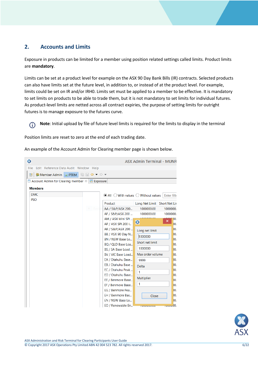# <span id="page-5-0"></span>**2. Accounts and Limits**

Exposure in products can be limited for a member using position related settings called limits. Product limits are **mandatory**.

Limits can be set at a product level for example on the ASX 90 Day Bank Bills (IR) contracts. Selected products can also have limits set at the future level, in addition to, or instead of at the product level. For example, limits could be set on IR and/or IRH0. Limits set must be applied to a member to be effective. It is mandatory to set limits on products to be able to trade them, but it is not mandatory to set limits for individual futures. As product-level limits are netted across all contract expiries, the purpose of setting limits for outright futures is to manage exposure to the futures curve.

**Note**: Initial upload by file of future level limits is required for the limits to display in the terminal  $\bigcirc$ 

Position limits are reset to zero at the end of each trading date.

An example of the Account Admin for Clearing member page is shown below.

| ☺                                                                        |                                                        | <b>ASX Admin Terminal - MUNR</b> |
|--------------------------------------------------------------------------|--------------------------------------------------------|----------------------------------|
| Edit Reference Data Audit Window Help<br>File                            |                                                        |                                  |
| 喩圖◆▼◇▼<br>Member Admin <b>I</b> I PTRM<br>畔                              |                                                        |                                  |
| $\Box$ Account Admin for Clearing member $\mathbb{X}$<br><b>EXposure</b> |                                                        |                                  |
| <b>Members</b>                                                           |                                                        |                                  |
| <b>DMC</b>                                                               | $\odot$ All $\odot$ With values $\odot$ Without values | Enter filte                      |
| <b>PSO</b>                                                               | Product                                                | Long Net Limit Short Net Lir     |
|                                                                          | AA / S&P/ASX 200                                       | 1000000.00<br>1000000.           |
|                                                                          | AF / S&P/ASX 200                                       | 1000000.<br>1000000.00           |
|                                                                          | AM / ASX Mini SPI                                      | DO.<br>×                         |
|                                                                          | AP / ASX SPI 200 I                                     | Ø<br>DO.                         |
|                                                                          | AR / S&P/ASX 200                                       | 00.<br>Long net limit            |
|                                                                          | BB / ASX 90 Day N                                      | 00.<br>1000000                   |
|                                                                          | BN / NSW Base Lo                                       | bo.<br>Short net limit           |
|                                                                          | BQ / QLD Base Loa                                      | DO.                              |
|                                                                          | BS / SA Base Load                                      | 1000000<br>b0.                   |
|                                                                          | BV / VIC Base Load                                     | Max order volume<br>bo.          |
|                                                                          | EA / Otahuhu Base                                      | DO.<br>9999                      |
|                                                                          | EB / Otahuhu Base                                      | b0.<br><b>Delta</b>              |
|                                                                          | EC / Otahuhu Peak                                      | b0.<br>$\mathbf{1}$              |
|                                                                          | ED / Otahuhu Base                                      | bo.<br><b>Multiplier</b><br>DO.  |
|                                                                          | EE / Benmore Base<br>EF / Benmore Base                 | 1<br>00.                         |
|                                                                          | EG / Benmore Pea                                       | bo.                              |
|                                                                          | EH / Benmore Bas                                       | DO.<br>Close                     |
|                                                                          | EN / NSW Base Lo                                       | 00.                              |
|                                                                          | EO / Renewable En                                      | roooo00.<br>roooooo.oo           |

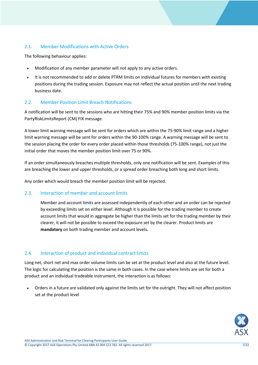# <span id="page-6-0"></span>2.1. Member Modifications with Active Orders

The following behaviour applies:

- Modification of any member parameter will not apply to any active orders.
- It is not recommended to add or delete PTRM limits on individual futures for members with existing positions during the trading session. Exposure may not reflect the actual position until the next trading business date.

## <span id="page-6-1"></span>2.2. Member Position Limit Breach Notifications

A notification will be sent to the sessions who are hitting their 75% and 90% member position limits via the PartyRiskLimitsReport (CM) FIX message.

A lower limit warning message will be sent for orders which are within the 75-90% limit range and a higher limit warning message will be sent for orders within the 90-100% range. A warning message will be sent to the session placing the order for every order placed within those thresholds (75-100% range), not just the initial order that moves the member position limit over 75 or 90%.

If an order simultaneously breaches multiple thresholds, only one notification will be sent. Examples of this are breaching the lower and upper thresholds, or a spread order breaching both long and short limits.

Any order which would breach the member position limit will be rejected.

## <span id="page-6-2"></span>2.3. Interaction of member and account limits

Member and account limits are assessed independently of each other and an order can be rejected by exceeding limits set on either level. Although it is possible for the trading member to create account limits that would in aggregate be higher than the limits set for the trading member by their clearer, it will not be possible to exceed the exposure set by the clearer. Product limits are **mandatory** on both trading member and account levels**.** 

# <span id="page-6-3"></span>2.4. Interaction of product and individual contract limits

Long net, short net and max order volume limits can be set at the product level and also at the future level. The logic for calculating the position is the same in both cases. In the case where limits are set for both a product and an individual tradeable instrument, the interaction is as follows:

 Orders in a future are validated only against the limits set for the outright. They will not affect position set at the product level

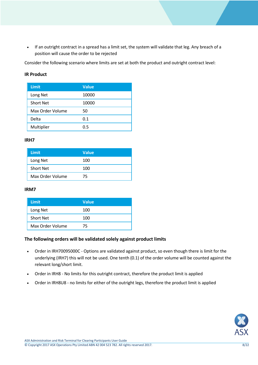If an outright contract in a spread has a limit set, the system will validate that leg. Any breach of a position will cause the order to be rejected

Consider the following scenario where limits are set at both the product and outright contract level:

## **IR Product**

| <b>Limit</b>     | <b>Value</b> |
|------------------|--------------|
| Long Net         | 10000        |
| <b>Short Net</b> | 10000        |
| Max Order Volume | 50           |
| Delta            | 0.1          |
| Multiplier       | 0.5          |

#### **IRH7**

| Limit            | <b>Value</b> |
|------------------|--------------|
| Long Net         | 100          |
| <b>Short Net</b> | 100          |
| Max Order Volume | 75           |

## **IRM7**

| Limit            | <b>Value</b> |
|------------------|--------------|
| Long Net         | 100          |
| <b>Short Net</b> | 100          |
| Max Order Volume | 75           |

## **The following orders will be validated solely against product limits**

- Order in IRH70095000C Options are validated against product, so even though there is limit for the underlying (IRH7) this will not be used. One tenth (0.1) of the order volume will be counted against the relevant long/short limit.
- Order in IRH8 No limits for this outright contract, therefore the product limit is applied
- Order in IRH8U8 no limits for either of the outright legs, therefore the product limit is applied

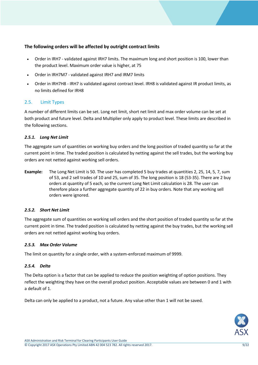# **The following orders will be affected by outright contract limits**

- Order in IRH7 validated against IRH7 limits. The maximum long and short position is 100, lower than the product level. Maximum order value is higher, at 75
- Order in IRH7M7 validated against IRH7 and IRM7 limits
- Order in IRH7H8 IRH7 is validated against contract level. IRH8 is validated against IR product limits, as no limits defined for IRH8

## <span id="page-8-0"></span>2.5. Limit Types

A number of different limits can be set. Long net limit, short net limit and max order volume can be set at both product and future level. Delta and Multiplier only apply to product level. These limits are described in the following sections.

#### <span id="page-8-1"></span>*2.5.1. Long Net Limit*

The aggregate sum of quantities on working buy orders and the long position of traded quantity so far at the current point in time. The traded position is calculated by netting against the sell trades, but the working buy orders are not netted against working sell orders.

**Example:** The Long Net Limit is 50. The user has completed 5 buy trades at quantities 2, 25, 14, 5, 7, sum of 53, and 2 sell trades of 10 and 25, sum of 35. The long position is 18 (53-35). There are 2 buy orders at quantity of 5 each, so the current Long Net Limit calculation is 28. The user can therefore place a further aggregate quantity of 22 in buy orders. Note that any working sell orders were ignored.

#### <span id="page-8-2"></span>*2.5.2. Short Net Limit*

The aggregate sum of quantities on working sell orders and the short position of traded quantity so far at the current point in time. The traded position is calculated by netting against the buy trades, but the working sell orders are not netted against working buy orders.

#### <span id="page-8-3"></span>*2.5.3. Max Order Volume*

The limit on quantity for a single order, with a system-enforced maximum of 9999.

#### <span id="page-8-4"></span>*2.5.4. Delta*

The Delta option is a factor that can be applied to reduce the position weighting of option positions. They reflect the weighting they have on the overall product position. Acceptable values are between 0 and 1 with a default of 1.

Delta can only be applied to a product, not a future. Any value other than 1 will not be saved.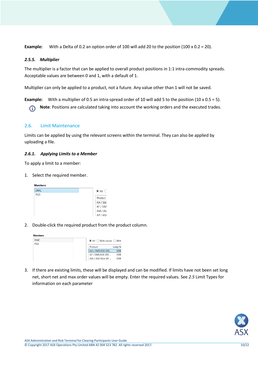<span id="page-9-0"></span>**Example:** With a Delta of 0.2 an option order of 100 will add 20 to the position (100 x 0.2 = 20).

#### *2.5.5. Multiplier*

The multiplier is a factor that can be applied to overall product positions in 1:1 intra-commodity spreads. Acceptable values are between 0 and 1, with a default of 1.

Multiplier can only be applied to a product, not a future. Any value other than 1 will not be saved.

**Example:** With a multiplier of 0.5 an intra-spread order of 10 will add 5 to the position (10 x 0.5 = 5).

**Note**: Positions are calculated taking into account the working orders and the executed trades. G

## <span id="page-9-1"></span>2.6. Limit Maintenance

Limits can be applied by using the relevant screens within the terminal. They can also be applied by uploading a file.

#### <span id="page-9-2"></span>*2.6.1. Applying Limits to a Member*

To apply a limit to a member:

1. Select the required member.



2. Double-click the required product from the product column.

| <b>Members</b> |  |                                                    |             |
|----------------|--|----------------------------------------------------|-------------|
| <b>DMC</b>     |  | $\odot$ All $\bigcirc$ With values $\bigcirc$ With |             |
| <b>PSO</b>     |  |                                                    |             |
|                |  | Product                                            | Long No     |
|                |  | AA / S&P/ASX 200                                   | 1000        |
|                |  | AF / S&P/ASX 200                                   | <b>1000</b> |
|                |  | AM / ASX Mini SPI                                  | 1000        |

3. If there are existing limits, these will be displayed and can be modified. If limits have not been set long net, short net and max order values will be empty. Enter the required values. See *[2.5](#page-8-0)* [Limit Types](#page-8-0) for information on each parameter

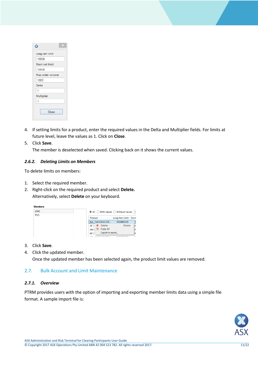| ×                |
|------------------|
| Long net limit   |
| 10000            |
| Short net limit  |
| 10000            |
| Max order volume |
| 1000             |
| Delta            |
| 1                |
| Multiplier       |
| 1                |
| Close            |

- 4. If setting limits for a product, enter the required values in the Delta and Multiplier fields. For limits at future level, leave the values as 1. Click on **Close**.
- 5. Click **Save**.

The member is deselected when saved. Clicking back on it shows the current values.

#### <span id="page-10-0"></span>*2.6.2. Deleting Limits on Members*

To delete limits on members:

- 1. Select the required member.
- 2. Right-click on the required product and select **Delete.**  Alternatively, select **Delete** on your keyboard.



- 3. Click **Save**.
- 4. Click the updated member.

Once the updated member has been selected again, the product limit values are removed.

#### <span id="page-10-1"></span>2.7. Bulk Account and Limit Maintenance

#### <span id="page-10-2"></span>*2.7.1. Overview*

PTRM provides users with the option of importing and exporting member limits data using a simple file format. A sample import file is:

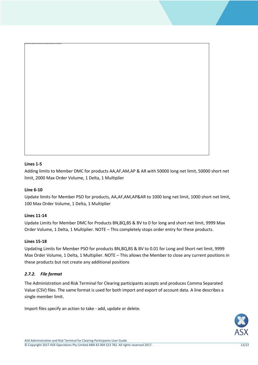#### **Lines 1-5**

Adding limits to Member DMC for products AA,AF,AM,AP & AR with 50000 long net limit, 50000 short net limit, 2000 Max Order Volume, 1 Delta, 1 Multiplier

## **Line 6-10**

Update limits for Member PSO for products, AA,AF,AM,AP&AR to 1000 long net limit, 1000 short net limit, 100 Max Order Volume, 1 Delta, 1 Multiplier

#### **Lines 11-14**

Update Limits for Member DMC for Products BN,BQ,BS & BV to 0 for long and short net limit, 9999 Max Order Volume, 1 Delta, 1 Multiplier. NOTE – This completely stops order entry for these products.

#### **Lines 15-18**

Updating Limits for Member PSO for products BN,BQ,BS & BV to 0.01 for Long and Short net limit, 9999 Max Order Volume, 1 Delta, 1 Multiplier. NOTE – This allows the Member to close any current positions in these products but not create any additional positions

#### <span id="page-11-0"></span>*2.7.2. File format*

The Administration and Risk Terminal for Clearing participants accepts and produces Comma Separated Value (CSV) files. The same format is used for both import and export of account data. A line describes a single member limit.

Import files specify an action to take - add, update or delete.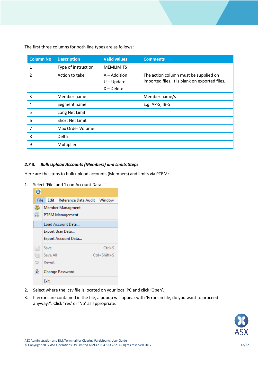**Column No Description Valid values Comments** 1 Type of instruction MEMLIMITS 2 Action to take A – Addition U – Update X – Delete The action column must be supplied on imported files. It is blank on exported files. 3 Member name Member name/s 4 Segment name E.g. AP-S, IB-S 5 Long Net Limit 6 Short Net Limit 7 Max Order Volume 8 Delta 9 Multiplier

The first three columns for both line types are as follows:

## <span id="page-12-0"></span>*2.7.3. Bulk Upload Accounts (Members) and Limits Steps*

Here are the steps to bulk upload accounts (Members) and limits via PTRM:

1. Select 'File' and 'Load Account Data…'



- 2. Select where the .csv file is located on your local PC and click 'Open'.
- 3. If errors are contained in the file, a popup will appear with 'Errors in file, do you want to proceed anyway?'. Click 'Yes' or 'No' as appropriate.

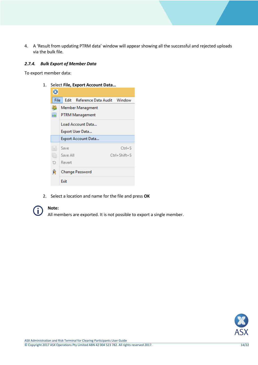4. A 'Result from updating PTRM data' window will appear showing all the successful and rejected uploads via the bulk file.

#### <span id="page-13-0"></span>*2.7.4. Bulk Export of Member Data*

To export member data:

1. Select **File, Export Account Data…**



2. Select a location and name for the file and press **OK**



#### **Note:**

All members are exported. It is not possible to export a single member.

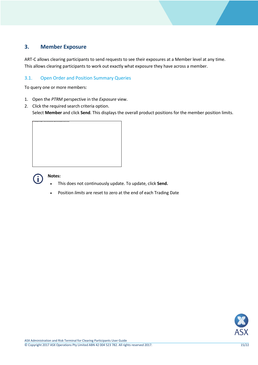# <span id="page-14-0"></span>**3. Member Exposure**

ART-C allows clearing participants to send requests to see their exposures at a Member level at any time. This allows clearing participants to work out exactly what exposure they have across a member.

# <span id="page-14-1"></span>3.1. Open Order and Position Summary Queries

To query one or more members:

- 1. Open the *PTRM* perspective in the *Exposure* view.
- 2. Click the required search criteria option.

Select **Member** and click **Send**. This displays the overall product positions for the member position limits.





#### **Notes:**

- This does not continuously update. To update, click **Send.**
- Position *limits* are reset to zero at the end of each Trading Date

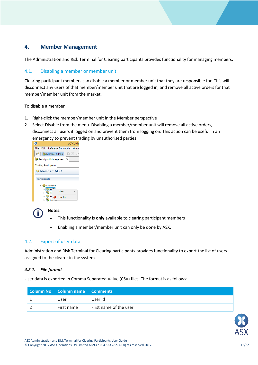# <span id="page-15-0"></span>**4. Member Management**

The Administration and Risk Terminal for Clearing participants provides functionality for managing members.

## <span id="page-15-1"></span>4.1. Disabling a member or member unit

Clearing participant members can disable a member or member unit that they are responsible for. This will disconnect any users of that member/member unit that are logged in, and remove all active orders for that member/member unit from the market.

To disable a member

- 1. Right-click the member/member unit in the Member perspective
- 2. Select Disable from the menu. Disabling a member/member unit will remove all active orders, disconnect all users if logged on and prevent them from logging on. This action can be useful in an emergency to prevent trading by unauthorised parties.





# **Notes:**

- This functionality is **only** available to clearing participant members
- Enabling a member/member unit can only be done by ASX.

## <span id="page-15-2"></span>4.2. Export of user data

Administration and Risk Terminal for Clearing participants provides functionality to export the list of users assigned to the clearer in the system.

#### <span id="page-15-3"></span>*4.2.1. File format*

User data is exported in Comma Separated Value (CSV) files. The format is as follows:

| <b>Column No Column name Comments</b> |                        |
|---------------------------------------|------------------------|
| User                                  | User id                |
| First name                            | First name of the user |

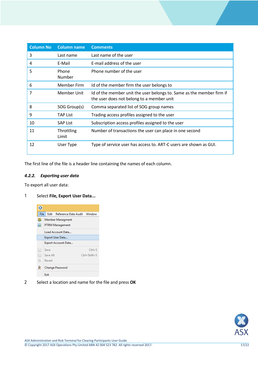| <b>Column No</b> | <b>Column name</b>  | <b>Comments</b>                                                                                                    |
|------------------|---------------------|--------------------------------------------------------------------------------------------------------------------|
| 3                | Last name           | Last name of the user                                                                                              |
| 4                | E-Mail              | E-mail address of the user                                                                                         |
| 5                | Phone<br>Number     | Phone number of the user                                                                                           |
| 6                | Member Firm         | Id of the member firm the user belongs to                                                                          |
| 7                | Member Unit         | Id of the member unit the user belongs to. Same as the member firm if<br>the user does not belong to a member unit |
| 8                | SOG Group(s)        | Comma separated list of SOG group names                                                                            |
| 9                | <b>TAP List</b>     | Trading access profiles assigned to the user                                                                       |
| 10               | <b>SAP List</b>     | Subscription access profiles assigned to the user                                                                  |
| 11               | Throttling<br>Limit | Number of transactions the user can place in one second                                                            |
| 12               | User Type           | Type of service user has access to. ART-C users are shown as GUI.                                                  |

The first line of the file is a header line containing the names of each column.

## <span id="page-16-0"></span>*4.2.2. Exporting user data*

To export all user data:

# 1 Select **File, Export User Data...**



2 Select a location and name for the file and press **OK**

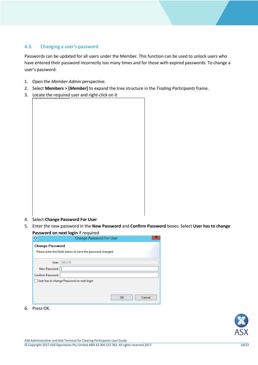# <span id="page-17-0"></span>4.3. Changing a user's password

Passwords can be updated for all users under the Member. This function can be used to unlock users who have entered their password incorrectly too many times and for those with expired passwords. To change a user's password:

- 1. Open the *Member Admin* perspective.
- 2. Select **Members > [***Member***]** to expand the tree structure in the *Trading Participants* frame.
- 3. Locate the required user and right-click on it

- 4. Select **Change Password For User**
- 5. Enter the new password in the **New Password** and **Confirm Password** boxes. Select **User has to change Password on next login** if required

| O                      | Change Password For User                                    |  |
|------------------------|-------------------------------------------------------------|--|
| <b>Change Password</b> |                                                             |  |
|                        | Please enter the fields below to have the password changed. |  |
| User: ABCCN            |                                                             |  |
|                        |                                                             |  |
| New Password:          |                                                             |  |
| Confirm Password:      |                                                             |  |
|                        | User has to change Password on next login                   |  |
|                        |                                                             |  |
|                        |                                                             |  |
|                        | OK<br>Cancel                                                |  |

6. Press OK.

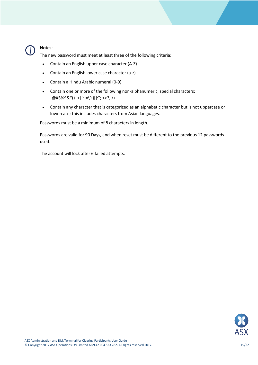

#### **Notes**:

The new password must meet at least three of the following criteria:

- Contain an English upper case character (A-Z)
- Contain an English lower case character (a-z)
- Contain a Hindu Arabic numeral (0-9)
- Contain one or more of the following non-alphanumeric, special characters: !@#\$%^&\*()\_+|~-=\`{}[]:";'<>?,./)
- Contain any character that is categorized as an alphabetic character but is not uppercase or lowercase; this includes characters from Asian languages.

Passwords must be a minimum of 8 characters in length.

Passwords are valid for 90 Days, and when reset must be different to the previous 12 passwords used.

The account will lock after 6 failed attempts.

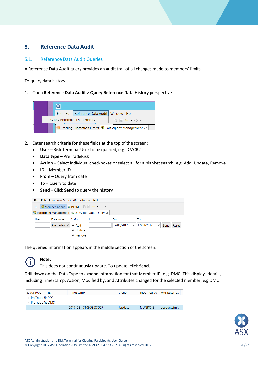# <span id="page-19-0"></span>**5. Reference Data Audit**

# <span id="page-19-1"></span>5.1. Reference Data Audit Queries

A Reference Data Audit query provides an audit trail of all changes made to members' limits.

To query data history:

#### 1. Open **Reference Data Audit** > **Query Reference Data History** perspective



- 2. Enter search criteria for these fields at the top of the screen:
	- **User** Risk Terminal User to be queried, e.g. DMCR2
	- **Data type** PreTradeRisk
	- **Action** Select individual checkboxes or select all for a blanket search, e.g. Add, Update, Remove
	- **ID** Member ID
	- **From** Query from date
	- **To** Query to date
	- **Send** Click **Send** to query the history

|      | File Edit Reference Data Audit Window Help |                                                                                               |                                                                      |                          |                                  |                               |
|------|--------------------------------------------|-----------------------------------------------------------------------------------------------|----------------------------------------------------------------------|--------------------------|----------------------------------|-------------------------------|
| 昏1   |                                            |                                                                                               |                                                                      |                          |                                  |                               |
|      |                                            |                                                                                               | <b>B</b> Participant Management <b>C</b> Query Ref Data History $\%$ |                          |                                  |                               |
| User | Data type<br>PreTradeR V                   | Action<br>$\blacktriangleright$ Add<br>$\triangledown$ Update<br>$\blacktriangleright$ Remove | Id                                                                   | <b>From</b><br>2/08/2017 | To<br>17/08/2017<br>$\checkmark$ | Reset<br>Send<br>$\checkmark$ |

The queried information appears in the middle section of the screen.



**Note:**

This does not continuously update. To update, click **Send.**

Drill down on the Data Type to expand information for that Member ID, e.g. DMC. This displays details, including TimeStamp, Action, Modified by, and Attributes changed for the selected member, e.g DMC

| Data Type                        | ID | TimeStamp               | Action |                | Modified by Attributes c |
|----------------------------------|----|-------------------------|--------|----------------|--------------------------|
| PreTradeRis PSO                  |    |                         |        |                |                          |
| $\blacktriangle$ PreTradeRis DMC |    |                         |        |                |                          |
|                                  |    | 2017-08-17T09:53:37.527 | Update | <b>MUNRO S</b> | accountLimi              |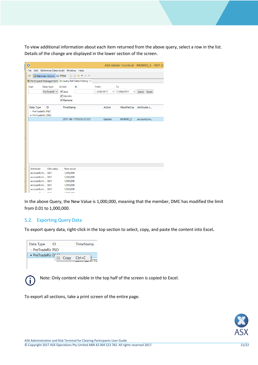To view additional information about each item returned from the above query, select a row in the list. Details of the change are displayed in the lower section of the screen.

| $\bullet$                                     |                                                                   |                |                 | ASX Admin Terminal - MUNRO S - NTP 27 |
|-----------------------------------------------|-------------------------------------------------------------------|----------------|-----------------|---------------------------------------|
| Edit Reference Data Audit Window Help<br>File |                                                                   |                |                 |                                       |
| Member Admin <b>III</b> PTRM<br>■             | 鳴圖◆▼◇▼                                                            |                |                 |                                       |
|                                               | <b>B</b> Participant Management <b>C</b> Query Ref Data History & |                |                 |                                       |
| Data type<br>User                             | Action<br>Id                                                      | From           | To              |                                       |
| $PreTradeR \vee$                              | $\blacktriangleright$ Add                                         | 2/08/2017<br>v | 17/08/2017<br>◡ | Reset                                 |
|                                               | <b>√</b> Update                                                   |                |                 | Send                                  |
|                                               | $\triangledown$ Remove                                            |                |                 |                                       |
|                                               |                                                                   |                |                 |                                       |
| Data Type<br>ID                               | TimeStamp                                                         | <b>Action</b>  | Modified by     | Attributes c                          |
| > PreTradeRis PSO                             |                                                                   |                |                 |                                       |
| ▲ PreTradeRis DMC                             |                                                                   |                |                 |                                       |
|                                               | 2017-08-17T09:53:37.527                                           | Update         | MUNRO_S         | accountLimi                           |
|                                               |                                                                   |                |                 |                                       |
| <b>Attribute</b><br>Old value                 | New value                                                         |                |                 |                                       |
| accountLimi 0.01                              | 1,000,000                                                         |                |                 |                                       |
| accountLimi 0.01                              | 1,000,000                                                         |                |                 |                                       |
| accountLimi 0.01                              | 1,000,000                                                         |                |                 |                                       |
| accountLimi 0.01                              | 1,000,000                                                         |                |                 |                                       |
| accountLimi 0.01<br>and the<br>0.04           | 1,000,000<br><b>A DOO DOO</b>                                     |                |                 |                                       |

In the above Query, the New Value is 1,000,000, meaning that the member, DMC has modified the limit from 0.01 to 1,000,000.

#### <span id="page-20-0"></span>5.2. Exporting Query Data

To export query data, right-click in the top section to select, copy, and paste the content into Excel**.**

| Data Type                     | ID        | TimeStamp  |  |
|-------------------------------|-----------|------------|--|
| $\rightarrow$ PreTradeRis PSO |           |            |  |
| ▲ PreTradeRis Di              | Copy<br>睡 | $Ctrl + C$ |  |



Note: Only content visible in the top half of the screen is copied to Excel.

To export all sections, take a print screen of the entire page.